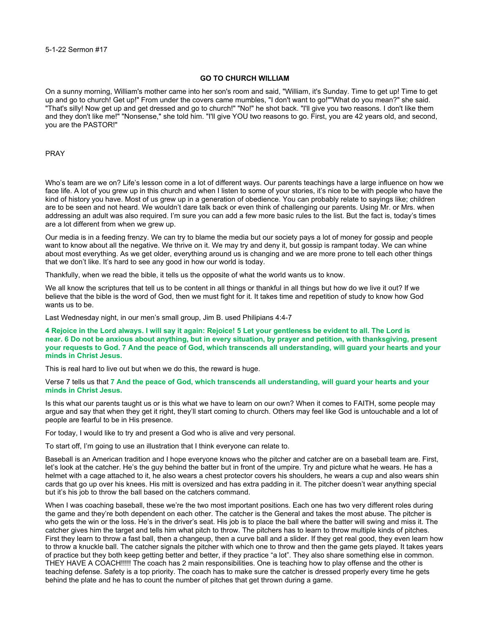## **GO TO CHURCH WILLIAM**

On a sunny morning, William's mother came into her son's room and said, "William, it's Sunday. Time to get up! Time to get up and go to church! Get up!" From under the covers came mumbles, "I don't want to go!""What do you mean?" she said. "That's silly! Now get up and get dressed and go to church!" "No!" he shot back. "I'll give you two reasons. I don't like them and they don't like me!" "Nonsense," she told him. "I'll give YOU two reasons to go. First, you are 42 years old, and second, you are the PASTOR!"

## PRAY

Who's team are we on? Life's lesson come in a lot of different ways. Our parents teachings have a large influence on how we face life. A lot of you grew up in this church and when I listen to some of your stories, it's nice to be with people who have the kind of history you have. Most of us grew up in a generation of obedience. You can probably relate to sayings like; children are to be seen and not heard. We wouldn't dare talk back or even think of challenging our parents. Using Mr. or Mrs. when addressing an adult was also required. I'm sure you can add a few more basic rules to the list. But the fact is, today's times are a lot different from when we grew up.

Our media is in a feeding frenzy. We can try to blame the media but our society pays a lot of money for gossip and people want to know about all the negative. We thrive on it. We may try and deny it, but gossip is rampant today. We can whine about most everything. As we get older, everything around us is changing and we are more prone to tell each other things that we don't like. It's hard to see any good in how our world is today.

Thankfully, when we read the bible, it tells us the opposite of what the world wants us to know.

We all know the scriptures that tell us to be content in all things or thankful in all things but how do we live it out? If we believe that the bible is the word of God, then we must fight for it. It takes time and repetition of study to know how God wants us to be.

Last Wednesday night, in our men's small group, Jim B. used Philipians 4:4-7

**4 Rejoice in the Lord always. I will say it again: Rejoice! 5 Let your gentleness be evident to all. The Lord is near. 6 Do not be anxious about anything, but in every situation, by prayer and petition, with thanksgiving, present your requests to God. 7 And the peace of God, which transcends all understanding, will guard your hearts and your minds in Christ Jesus.**

This is real hard to live out but when we do this, the reward is huge.

Verse 7 tells us that **7 And the peace of God, which transcends all understanding, will guard your hearts and your minds in Christ Jesus.**

Is this what our parents taught us or is this what we have to learn on our own? When it comes to FAITH, some people may argue and say that when they get it right, they'll start coming to church. Others may feel like God is untouchable and a lot of people are fearful to be in His presence.

For today, I would like to try and present a God who is alive and very personal.

To start off, I'm going to use an illustration that I think everyone can relate to.

Baseball is an American tradition and I hope everyone knows who the pitcher and catcher are on a baseball team are. First, let's look at the catcher. He's the guy behind the batter but in front of the umpire. Try and picture what he wears. He has a helmet with a cage attached to it, he also wears a chest protector covers his shoulders, he wears a cup and also wears shin cards that go up over his knees. His mitt is oversized and has extra padding in it. The pitcher doesn't wear anything special but it's his job to throw the ball based on the catchers command.

When I was coaching baseball, these we're the two most important positions. Each one has two very different roles during the game and they're both dependent on each other. The catcher is the General and takes the most abuse. The pitcher is who gets the win or the loss. He's in the driver's seat. His job is to place the ball where the batter will swing and miss it. The catcher gives him the target and tells him what pitch to throw. The pitchers has to learn to throw multiple kinds of pitches. First they learn to throw a fast ball, then a changeup, then a curve ball and a slider. If they get real good, they even learn how to throw a knuckle ball. The catcher signals the pitcher with which one to throw and then the game gets played. It takes years of practice but they both keep getting better and better, if they practice "a lot". They also share something else in common. THEY HAVE A COACH!!!!! The coach has 2 main responsibilities. One is teaching how to play offense and the other is teaching defense. Safety is a top priority. The coach has to make sure the catcher is dressed properly every time he gets behind the plate and he has to count the number of pitches that get thrown during a game.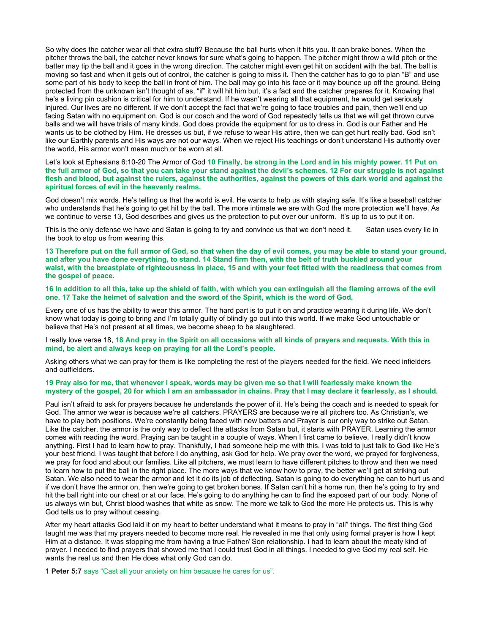So why does the catcher wear all that extra stuff? Because the ball hurts when it hits you. It can brake bones. When the pitcher throws the ball, the catcher never knows for sure what's going to happen. The pitcher might throw a wild pitch or the batter may tip the ball and it goes in the wrong direction. The catcher might even get hit on accident with the bat. The ball is moving so fast and when it gets out of control, the catcher is going to miss it. Then the catcher has to go to plan "B" and use some part of his body to keep the ball in front of him. The ball may go into his face or it may bounce up off the ground. Being protected from the unknown isn't thought of as, "if" it will hit him but, it's a fact and the catcher prepares for it. Knowing that he's a living pin cushion is critical for him to understand. If he wasn't wearing all that equipment, he would get seriously injured. Our lives are no different. If we don't accept the fact that we're going to face troubles and pain, then we'll end up facing Satan with no equipment on. God is our coach and the word of God repeatedly tells us that we will get thrown curve balls and we will have trials of many kinds. God does provide the equipment for us to dress in. God is our Father and He wants us to be clothed by Him. He dresses us but, if we refuse to wear His attire, then we can get hurt really bad. God isn't like our Earthly parents and His ways are not our ways. When we reject His teachings or don't understand His authority over the world, His armor won't mean much or be worn at all.

Let's look at Ephesians 6:10-20 The Armor of God **10 Finally, be strong in the Lord and in his mighty power. 11 Put on the full armor of God, so that you can take your stand against the devil's schemes. 12 For our struggle is not against flesh and blood, but against the rulers, against the authorities, against the powers of this dark world and against the spiritual forces of evil in the heavenly realms.**

God doesn't mix words. He's telling us that the world is evil. He wants to help us with staying safe. It's like a baseball catcher who understands that he's going to get hit by the ball. The more intimate we are with God the more protection we'll have. As we continue to verse 13, God describes and gives us the protection to put over our uniform. It's up to us to put it on.

This is the only defense we have and Satan is going to try and convince us that we don't need it. Satan uses every lie in the book to stop us from wearing this.

**13 Therefore put on the full armor of God, so that when the day of evil comes, you may be able to stand your ground, and after you have done everything, to stand. 14 Stand firm then, with the belt of truth buckled around your waist, with the breastplate of righteousness in place, 15 and with your feet fitted with the readiness that comes from the gospel of peace.** 

**16 In addition to all this, take up the shield of faith, with which you can extinguish all the flaming arrows of the evil one. 17 Take the helmet of salvation and the sword of the Spirit, which is the word of God.**

Every one of us has the ability to wear this armor. The hard part is to put it on and practice wearing it during life. We don't know what today is going to bring and I'm totally guilty of blindly go out into this world. If we make God untouchable or believe that He's not present at all times, we become sheep to be slaughtered.

I really love verse 18, **18 And pray in the Spirit on all occasions with all kinds of prayers and requests. With this in mind, be alert and always keep on praying for all the Lord's people.** 

Asking others what we can pray for them is like completing the rest of the players needed for the field. We need infielders and outfielders.

## **19 Pray also for me, that whenever I speak, words may be given me so that I will fearlessly make known the mystery of the gospel, 20 for which I am an ambassador in chains. Pray that I may declare it fearlessly, as I should.**

Paul isn't afraid to ask for prayers because he understands the power of it. He's being the coach and is needed to speak for God. The armor we wear is because we're all catchers. PRAYERS are because we're all pitchers too. As Christian's, we have to play both positions. We're constantly being faced with new batters and Prayer is our only way to strike out Satan. Like the catcher, the armor is the only way to deflect the attacks from Satan but, it starts with PRAYER. Learning the armor comes with reading the word. Praying can be taught in a couple of ways. When I first came to believe, I really didn't know anything. First I had to learn how to pray. Thankfully, I had someone help me with this. I was told to just talk to God like He's your best friend. I was taught that before I do anything, ask God for help. We pray over the word, we prayed for forgiveness, we pray for food and about our families. Like all pitchers, we must learn to have different pitches to throw and then we need to learn how to put the ball in the right place. The more ways that we know how to pray, the better we'll get at striking out Satan. We also need to wear the armor and let it do its job of deflecting. Satan is going to do everything he can to hurt us and if we don't have the armor on, then we're going to get broken bones. If Satan can't hit a home run, then he's going to try and hit the ball right into our chest or at our face. He's going to do anything he can to find the exposed part of our body. None of us always win but, Christ blood washes that white as snow. The more we talk to God the more He protects us. This is why God tells us to pray without ceasing.

After my heart attacks God laid it on my heart to better understand what it means to pray in "all" things. The first thing God taught me was that my prayers needed to become more real. He revealed in me that only using formal prayer is how I kept Him at a distance. It was stopping me from having a true Father/ Son relationship. I had to learn about the meaty kind of prayer. I needed to find prayers that showed me that I could trust God in all things. I needed to give God my real self. He wants the real us and then He does what only God can do.

**1 Peter 5:7** says "Cast all your anxiety on him because he cares for us".